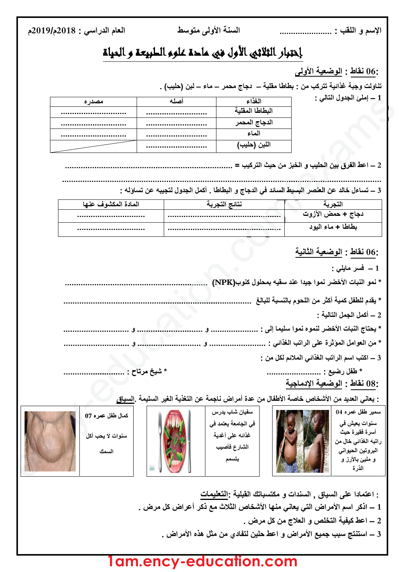الإسم و اللقب : ........................

### السنة الأولى متوسط

العام الدراسي : 2018م/2019م

## إحتبار الثلاثيي الأول فيى ماحة علوء الطبيعة و المياة

#### :06 نقاط : الوضعية الأولى

تذاولت وجبة غذائية تتركب من : بطاطا مقلية – دجاج محمر – ماء – لبن (حليب) .

#### 1 – إملئ الجدول التالي :

| مصدر ہ |           |
|--------|-----------|
|        |           |
|        | <br>الدح  |
|        | <br>الماء |
|        |           |

2 ـــ اعط الفرق بين الحليب و الخبز من حيث التركيب = .................

3 ـــ تساءل خالد عن العنصر البسيط السائد في الدجاج و البطاطا . أكمل الجدول لتجيبه عن تساوَله :

| الماده |                |
|--------|----------------|
|        | ۔ دجاج         |
|        | ىطاط<br>انته د |

:06 نقاط : الوضعية الثانية

<u>1 – فسر مایلی :</u>

2 – أكمل الجمل التالية :

3 ـــ اكتب اسم الراتب الغذائي الملائم لكل من :

\* طفل رضيع : .............................

\* شيخ مرتاح : ..............................

:08 نقاط : الوضعية الإدماجية

: يعاني العديد من الأشخاص خاصة الأطفال من عدة أمراض ناجمة عن التغذية الغير السليمة .السياق





سفيان شاب يدرس في الجامعة يعتمد في غذائه على أغدية الشارع فأصيب بتسمم



كمال طفل عمره 07

السيماى

سنوات لا يحب أكل

: اعتمادا على السباق . السندات و مكتسباتك القبلية :التعليمات

- 1 ـــ اذكر اسم الأمراض التي يعاني منها الأشخاص الثلاث مع ذكر أعراض كل مرض .
	- 2 ـــ اعط كيفية التخلص و العلاج من كل مرض .
	- 3 ـــ استنتج سبب جميع الأمراض و اعط حلين لتفادى من مثل هذه الأمراض .

# ucation.com